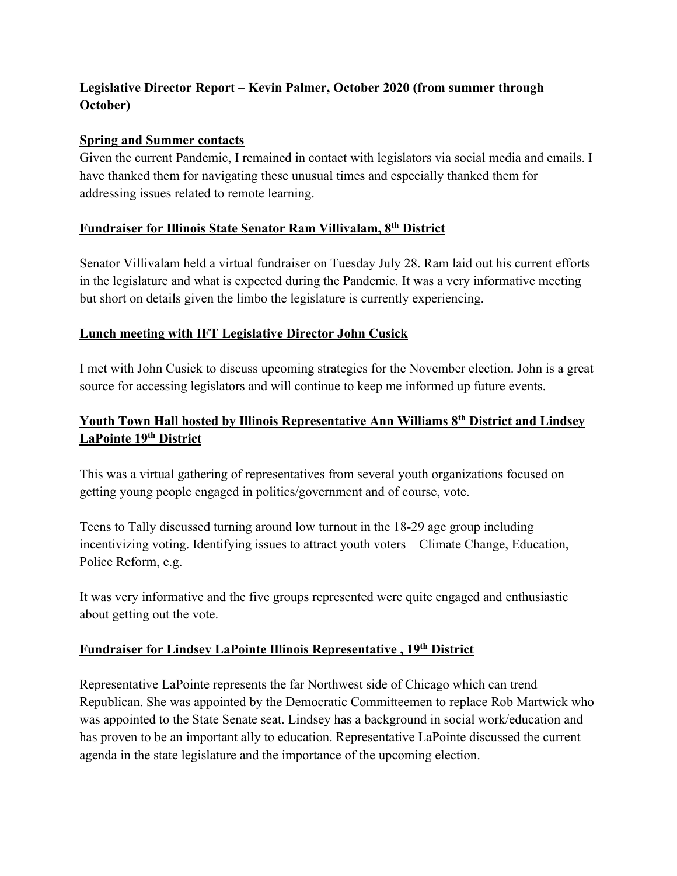# **Legislative Director Report – Kevin Palmer, October 2020 (from summer through October)**

#### **Spring and Summer contacts**

Given the current Pandemic, I remained in contact with legislators via social media and emails. I have thanked them for navigating these unusual times and especially thanked them for addressing issues related to remote learning.

#### **Fundraiser for Illinois State Senator Ram Villivalam, 8th District**

Senator Villivalam held a virtual fundraiser on Tuesday July 28. Ram laid out his current efforts in the legislature and what is expected during the Pandemic. It was a very informative meeting but short on details given the limbo the legislature is currently experiencing.

## **Lunch meeting with IFT Legislative Director John Cusick**

I met with John Cusick to discuss upcoming strategies for the November election. John is a great source for accessing legislators and will continue to keep me informed up future events.

# **Youth Town Hall hosted by Illinois Representative Ann Williams 8th District and Lindsey LaPointe 19th District**

This was a virtual gathering of representatives from several youth organizations focused on getting young people engaged in politics/government and of course, vote.

Teens to Tally discussed turning around low turnout in the 18-29 age group including incentivizing voting. Identifying issues to attract youth voters – Climate Change, Education, Police Reform, e.g.

It was very informative and the five groups represented were quite engaged and enthusiastic about getting out the vote.

## **Fundraiser for Lindsey LaPointe Illinois Representative , 19th District**

Representative LaPointe represents the far Northwest side of Chicago which can trend Republican. She was appointed by the Democratic Committeemen to replace Rob Martwick who was appointed to the State Senate seat. Lindsey has a background in social work/education and has proven to be an important ally to education. Representative LaPointe discussed the current agenda in the state legislature and the importance of the upcoming election.